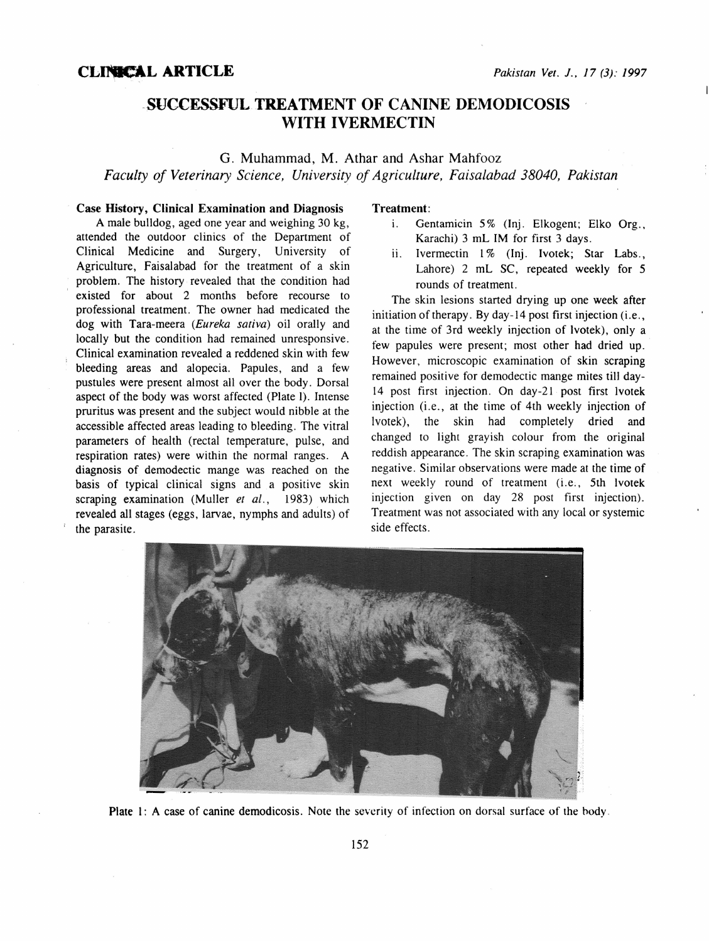## -SUCCESSFULTREATMENT OF CANINE DEMODICOSIS WITH IVERMECTIN

G. Muhammad, M. Athar and Ashar Mahfooz *Faculty of Veterinary Science, University of Agriculture, Faisalabad 38040, Pakistan* 

## Case History, Clinical Examination and Diagnosis

A male bulldog, aged one year and weighing 30 kg, attended the outdoor clinics of the Department of Clinical Medicine and Surgery, University of Agriculture, Faisalabad for the treatment of a skin problem. The history revealed that the condition had existed for about 2 months before recourse to professional treatment. The owner had medicated the dog with Tara-meera *(Eureka sativa)* oil orally and locally but the condition had remained unresponsive. Clinical examination revealed a reddened skin with few bleeding areas and alopecia. Papules, and a few pustules were present almost all over the body. Dorsal aspect of the body was worst affected (Plate I). Intense pruritus was present and the subject would nibble at the accessible affected areas leading to bleeding. The vitral parameters of health (rectal temperature, pulse, and respiration rates) were within the normal ranges. A diagnosis of demodectic mange was reached on the basis of typical clinical signs and a positive skin scraping examination (Muller *et al.,* 1983) which revealed all stages (eggs, larvae, nymphs and adults) of the parasite.

## Treatment:

- i. Gentamicin 5% (Inj. Elkogent; Elko Org., Karachi) 3 mL IM for first 3 days.
- ii. Ivermectin 1% (Inj. Ivotek; Star Labs., Lahore) 2 mL SC, repeated weekly for 5 rounds of treatment.

The skin lesions started drying up one week after initiation of therapy. By day-14 post first injection (i.e., at the time of 3rd weekly injection of lvotek), only a few papules were present; most other had dried up. However, microscopic examination of skin scraping remained positive for demodectic mange mites till day-14 post first injection. On day-21 post first lvotek injection (i.e., at the time of 4th weekly injection of lvotek), the skin had completely dried and changed to light grayish colour from the original reddish appearance. The skin scraping examination was negative. Similar observations were made at the time of next weekly round of treatment (i.e., 5th lvotek injection given on day 28 post first injection). Treatment was not associated with any local or systemic side effects.



Plate 1: A case of canine demodicosis. Note the severity of infection on dorsal surface of the body.